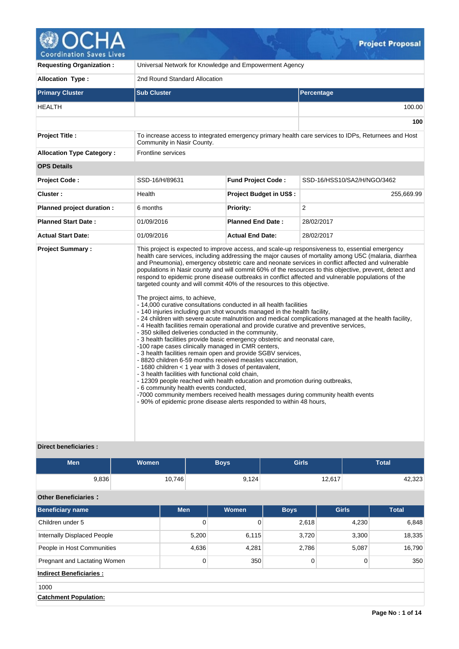

| <b>Requesting Organization:</b>  | Universal Network for Knowledge and Empowerment Agency                                                                                                                                                                                                                                                                                                                                                                                                                                                                                                                                                                                                                                                                                                                                                                                                                                                                                                                                                                                                                          |                                |                                                                                                                                                                                                                                                                                                                                                                                                                                                                                                                                                                                                                                          |  |  |
|----------------------------------|---------------------------------------------------------------------------------------------------------------------------------------------------------------------------------------------------------------------------------------------------------------------------------------------------------------------------------------------------------------------------------------------------------------------------------------------------------------------------------------------------------------------------------------------------------------------------------------------------------------------------------------------------------------------------------------------------------------------------------------------------------------------------------------------------------------------------------------------------------------------------------------------------------------------------------------------------------------------------------------------------------------------------------------------------------------------------------|--------------------------------|------------------------------------------------------------------------------------------------------------------------------------------------------------------------------------------------------------------------------------------------------------------------------------------------------------------------------------------------------------------------------------------------------------------------------------------------------------------------------------------------------------------------------------------------------------------------------------------------------------------------------------------|--|--|
| <b>Allocation Type:</b>          | 2nd Round Standard Allocation                                                                                                                                                                                                                                                                                                                                                                                                                                                                                                                                                                                                                                                                                                                                                                                                                                                                                                                                                                                                                                                   |                                |                                                                                                                                                                                                                                                                                                                                                                                                                                                                                                                                                                                                                                          |  |  |
| <b>Primary Cluster</b>           | <b>Sub Cluster</b>                                                                                                                                                                                                                                                                                                                                                                                                                                                                                                                                                                                                                                                                                                                                                                                                                                                                                                                                                                                                                                                              |                                | Percentage                                                                                                                                                                                                                                                                                                                                                                                                                                                                                                                                                                                                                               |  |  |
| <b>HEALTH</b>                    |                                                                                                                                                                                                                                                                                                                                                                                                                                                                                                                                                                                                                                                                                                                                                                                                                                                                                                                                                                                                                                                                                 |                                | 100.00                                                                                                                                                                                                                                                                                                                                                                                                                                                                                                                                                                                                                                   |  |  |
|                                  |                                                                                                                                                                                                                                                                                                                                                                                                                                                                                                                                                                                                                                                                                                                                                                                                                                                                                                                                                                                                                                                                                 |                                | 100                                                                                                                                                                                                                                                                                                                                                                                                                                                                                                                                                                                                                                      |  |  |
| <b>Project Title:</b>            | Community in Nasir County.                                                                                                                                                                                                                                                                                                                                                                                                                                                                                                                                                                                                                                                                                                                                                                                                                                                                                                                                                                                                                                                      |                                | To increase access to integrated emergency primary health care services to IDPs, Returnees and Host                                                                                                                                                                                                                                                                                                                                                                                                                                                                                                                                      |  |  |
| <b>Allocation Type Category:</b> | <b>Frontline services</b>                                                                                                                                                                                                                                                                                                                                                                                                                                                                                                                                                                                                                                                                                                                                                                                                                                                                                                                                                                                                                                                       |                                |                                                                                                                                                                                                                                                                                                                                                                                                                                                                                                                                                                                                                                          |  |  |
| <b>OPS Details</b>               |                                                                                                                                                                                                                                                                                                                                                                                                                                                                                                                                                                                                                                                                                                                                                                                                                                                                                                                                                                                                                                                                                 |                                |                                                                                                                                                                                                                                                                                                                                                                                                                                                                                                                                                                                                                                          |  |  |
| <b>Project Code:</b>             | SSD-16/H/89631                                                                                                                                                                                                                                                                                                                                                                                                                                                                                                                                                                                                                                                                                                                                                                                                                                                                                                                                                                                                                                                                  | <b>Fund Project Code:</b>      | SSD-16/HSS10/SA2/H/NGO/3462                                                                                                                                                                                                                                                                                                                                                                                                                                                                                                                                                                                                              |  |  |
| Cluster:                         | Health                                                                                                                                                                                                                                                                                                                                                                                                                                                                                                                                                                                                                                                                                                                                                                                                                                                                                                                                                                                                                                                                          | <b>Project Budget in US\$:</b> | 255,669.99                                                                                                                                                                                                                                                                                                                                                                                                                                                                                                                                                                                                                               |  |  |
| Planned project duration :       | 6 months                                                                                                                                                                                                                                                                                                                                                                                                                                                                                                                                                                                                                                                                                                                                                                                                                                                                                                                                                                                                                                                                        | Priority:                      | $\overline{2}$                                                                                                                                                                                                                                                                                                                                                                                                                                                                                                                                                                                                                           |  |  |
| <b>Planned Start Date:</b>       | 01/09/2016                                                                                                                                                                                                                                                                                                                                                                                                                                                                                                                                                                                                                                                                                                                                                                                                                                                                                                                                                                                                                                                                      | <b>Planned End Date:</b>       | 28/02/2017                                                                                                                                                                                                                                                                                                                                                                                                                                                                                                                                                                                                                               |  |  |
| <b>Actual Start Date:</b>        | 01/09/2016                                                                                                                                                                                                                                                                                                                                                                                                                                                                                                                                                                                                                                                                                                                                                                                                                                                                                                                                                                                                                                                                      | <b>Actual End Date:</b>        | 28/02/2017                                                                                                                                                                                                                                                                                                                                                                                                                                                                                                                                                                                                                               |  |  |
| <b>Project Summary:</b>          | targeted county and will commit 40% of the resources to this objective.<br>The project aims, to achieve,<br>- 14,000 curative consultations conducted in all health facilities<br>- 140 injuries including gun shot wounds managed in the health facility,<br>-4 Health facilities remain operational and provide curative and preventive services,<br>- 350 skilled deliveries conducted in the community,<br>- 3 health facilities provide basic emergency obstetric and neonatal care,<br>-100 rape cases clinically managed in CMR centers,<br>- 3 health facilities remain open and provide SGBV services,<br>- 8820 children 6-59 months received measles vaccination,<br>- 1680 children < 1 year with 3 doses of pentavalent,<br>- 3 health facilities with functional cold chain,<br>- 12309 people reached with health education and promotion during outbreaks,<br>- 6 community health events conducted,<br>-7000 community members received health messages during community health events<br>- 90% of epidemic prone disease alerts responded to within 48 hours, |                                | This project is expected to improve access, and scale-up responsiveness to, essential emergency<br>health care services, including addressing the major causes of mortality among U5C (malaria, diarrhea<br>and Pneumonia), emergency obstetric care and neonate services in conflict affected and vulnerable<br>populations in Nasir county and will commit 60% of the resources to this objective, prevent, detect and<br>respond to epidemic prone disease outbreaks in conflict affected and vulnerable populations of the<br>- 24 children with severe acute malnutrition and medical complications managed at the health facility, |  |  |

**Direct beneficiaries :**

| <b>Men</b>                         | <b>Women</b> |       | <b>Boys</b>    | <b>Girls</b> |              | <b>Total</b> |
|------------------------------------|--------------|-------|----------------|--------------|--------------|--------------|
| 9,836                              | 10,746       |       | 9,124          |              | 12,617       | 42,323       |
| <b>Other Beneficiaries:</b>        |              |       |                |              |              |              |
| <b>Beneficiary name</b>            | <b>Men</b>   |       | <b>Women</b>   | <b>Boys</b>  | <b>Girls</b> | <b>Total</b> |
| Children under 5                   |              | 0     | $\overline{0}$ | 2,618        | 4,230        | 6,848        |
| <b>Internally Displaced People</b> |              | 5,200 | 6,115          | 3,720        | 3,300        | 18,335       |
| People in Host Communities         |              | 4,636 | 4,281          | 2,786        | 5,087        | 16,790       |
| Pregnant and Lactating Women       |              | 0     | 350            | $\mathbf 0$  | 0            | 350          |
| <b>Indirect Beneficiaries:</b>     |              |       |                |              |              |              |
| 1000                               |              |       |                |              |              |              |
| <b>Catchment Population:</b>       |              |       |                |              |              |              |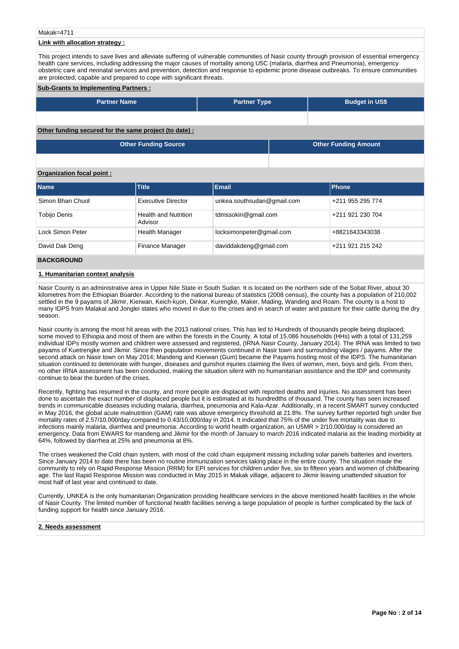#### Makak=4711

## **Link with allocation strategy :**

This project intends to save lives and alleviate suffering of vulnerable communities of Nasir county through provision of essential emergency health care services, including addressing the major causes of mortality among U5C (malaria, diarrhea and Pneumonia), emergency obstetric care and neonatal services and prevention, detection and response to epidemic prone disease outbreaks. To ensure communities are protected, capable and prepared to cope with significant threats.

#### **Sub-Grants to Implementing Partners :**

| <b>Partner Name</b> | <b>Partner Type</b> | <b>Budget in US\$</b> |
|---------------------|---------------------|-----------------------|
|                     |                     |                       |

# **Other funding secured for the same project (to date) :**

| <b>Other Funding Source</b> | <b>Other Funding Amount</b> |
|-----------------------------|-----------------------------|
|                             |                             |

## **Organization focal point :**

| <b>Name</b>      | <b>Title</b>                           | <b>Email</b>               | <b>Phone</b>     |
|------------------|----------------------------------------|----------------------------|------------------|
| Simon Bhan Chuol | <b>Executive Director</b>              | unkea.southsudan@gmail.com | +211 955 295 774 |
| Tobijo Denis     | <b>Health and Nutrition</b><br>Advisor | tdmssokiri@gmail.com       | +211 921 230 704 |
| Lock Simon Peter | <b>Health Manager</b>                  | locksimonpeter@gmail.com   | +8821643343038   |
| David Dak Deng   | Finance Manager                        | daviddakdeng@gmail.com     | +211 921 215 242 |

# **BACKGROUND**

#### **1. Humanitarian context analysis**

Nasir County is an administrative area in Upper Nile State in South Sudan. It is located on the northern side of the Sobat River, about 30 kilometres from the Ethiopian Boarder. According to the national bureau of statistics (2008 census), the county has a population of 210,002 settled in the 9 payams of Jikmir, Kierwan, Keich-kuon, Dinkar, Kurengke, Maker, Mading, Wanding and Roam. The county is a host to many IDPS from Malakal and Jonglei states who moved in due to the crises and in search of water and pasture for their cattle during the dry season.

Nasir county is among the most hit areas with the 2013 national crises. This has led to Hundreds of thousands people being displaced; some moved to Ethiopia and most of them are within the forests in the County. A total of 15,086 households (HHs) with a total of 131,259 individual IDPs mostly women and children were assessed and registered, (IRNA Nasir County, January 2014). The IRNA was limited to two payams of Kuetrengke and Jikmir. Since then population movements continued in Nasir town and surrounding vilages / payams. After the second attack on Nasir town on May 2014; Mandeng and Kierwan (Gum) became the Payams hosting most of the IDPS. The humanitarian situation continued to deteriorate with hunger, diseases and gunshot injuries claiming the lives of women, men, boys and girls. From then, no other IRNA assessment has been conducted, making the situation silent with no humanitarian assistance and the IDP and community continue to bear the burden of the crises.

Recently, fighting has resumed in the county, and more people are displaced with reported deaths and injuries. No assessment has been done to ascertain the exact number of displaced people but it is estimated at its hundredths of thousand. The county has seen increased trends in communicable diseases including malaria, diarrhea, pneumonia and Kala-Azar. Additionally, in a recent SMART survey conducted in May 2016, the global acute malnutrition (GAM) rate was above emergency threshold at 21.8%. The survey further reported high under five mortality rates of 2.57/10,000/day compared to 0.43/10,000/day in 2014. It indicated that 75% of the under five mortality was due to infections mainly malaria, diarrhea and pneumonia. According to world health organization, an U5MR > 2/10,000/day is considered an emergency. Data from EWARS for mandeng and Jikmir for the month of January to march 2016 indicated malaria as the leading morbidity at 64%, followed by diarrhea at 25% and pneumonia at 8%.

The crises weakened the Cold chain system, with most of the cold chain equipment missing including solar panels batteries and inverters. Since January 2014 to date there has been no routine immunization services taking place in the entire county. The situation made the community to rely on Rapid Response Mission (RRM) for EPI services for children under five, six to fifteen years and women of childbearing age. The last Rapid Response Mission was conducted in May 2015 in Makak village, adjacent to Jikmir leaving unattended situation for most half of last year and continued to date.

Currently, UNKEA is the only humanitarian Organization providing healthcare services in the above mentioned health facilities in the whole of Nasir County. The limited number of functional health facilities serving a large population of people is further complicated by the lack of funding support for health since January 2016.

#### **2. Needs assessment**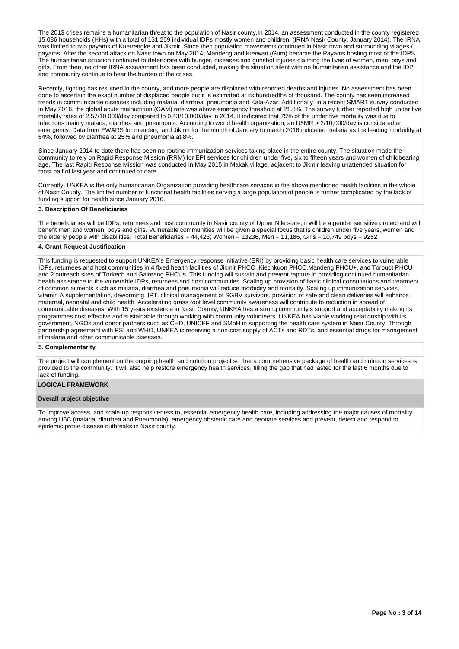The 2013 crises remains a humanitarian threat to the population of Nasir county.In 2014, an assessment conducted in the county registered 15,086 households (HHs) with a total of 131,259 individual IDPs mostly women and children. (IRNA Nasir County, January 2014). The IRNA was limited to two payams of Kuetrengke and Jikmir. Since then population movements continued in Nasir town and surrounding vilages / payams. After the second attack on Nasir town on May 2014; Mandeng and Kierwan (Gum) became the Payams hosting most of the IDPS. The humanitarian situation continued to deteriorate with hunger, diseases and gunshot injuries claiming the lives of women, men, boys and girls. From then, no other IRNA assessment has been conducted, making the situation silent with no humanitarian assistance and the IDP and community continue to bear the burden of the crises.

Recently, fighting has resumed in the county, and more people are displaced with reported deaths and injuries. No assessment has been done to ascertain the exact number of displaced people but it is estimated at its hundredths of thousand. The county has seen increased trends in communicable diseases including malaria, diarrhea, pneumonia and Kala-Azar. Additionally, in a recent SMART survey conducted in May 2016, the global acute malnutrition (GAM) rate was above emergency threshold at 21.8%. The survey further reported high under five mortality rates of 2.57/10,000/day compared to 0.43/10,000/day in 2014. It indicated that 75% of the under five mortality was due to infections mainly malaria, diarrhea and pneumonia. According to world health organization, an U5MR > 2/10,000/day is considered an emergency. Data from EWARS for mandeng and Jikmir for the month of January to march 2016 indicated malaria as the leading morbidity at 64%, followed by diarrhea at 25% and pneumonia at 8%.

Since January 2014 to date there has been no routine immunization services taking place in the entire county. The situation made the community to rely on Rapid Response Mission (RRM) for EPI services for children under five, six to fifteen years and women of childbearing age. The last Rapid Response Mission was conducted in May 2015 in Makak village, adjacent to Jikmir leaving unattended situation for most half of last year and continued to date.

Currently, UNKEA is the only humanitarian Organization providing healthcare services in the above mentioned health facilities in the whole of Nasir County. The limited number of functional health facilities serving a large population of people is further complicated by the lack of funding support for health since January 2016.

#### **3. Description Of Beneficiaries**

The beneficiaries will be IDPs, returnees and host community in Nasir county of Upper Nile state; it will be a gender sensitive project and will benefit men and women, boys and girls. Vulnerable communities will be given a special focus that is children under five years, women and the elderly people with disabilities. Total Beneficiaries = 44,423; Women = 13236, Men = 11,186, Girls = 10,749 boys = 9252

#### **4. Grant Request Justification**

This funding is requested to support UNKEA's Emergency response initiative (ERI) by providing basic health care services to vulnerable IDPs, returnees and host communities in 4 fixed health facilities of Jikmir PHCC ,Kiechkuon PHCC,Mandeng PHCU+, and Torpuot PHCU and 2 outreach sites of Torkech and Gaireang PHCUs. This funding will sustain and prevent rapture in providing continued humanitarian health assistance to the vulnerable IDPs, returnees and host communities. Scaling up provision of basic clinical consultations and treatment of common ailments such as malaria, diarrhea and pneumonia will reduce morbidity and mortality. Scaling up immunization services, vitamin A supplementation, deworming, IPT, clinical management of SGBV survivors, provision of safe and clean deliveries will enhance maternal, neonatal and child health, Accelerating grass root level community awareness will contribute to reduction in spread of communicable diseases. With 15 years existence in Nasir County, UNKEA has a strong community's support and acceptability making its programmes cost effective and sustainable through working with community volunteers. UNKEA has viable working relationship with its government, NGOs and donor partners such as CHD, UNICEF and SMoH in supporting the health care system in Nasir County. Through partnership agreement with PSI and WHO, UNKEA is receiving a non-cost supply of ACTs and RDTs, and essential drugs for management of malaria and other communicable diseases.

#### **5. Complementarity**

The project will complement on the ongoing health and nutrition project so that a comprehensive package of health and nutrition services is provided to the community. It will also help restore emergency health services, filling the gap that had lasted for the last 6 months due to lack of funding.

## **LOGICAL FRAMEWORK**

#### **Overall project objective**

To improve access, and scale-up responsiveness to, essential emergency health care, including addressing the major causes of mortality among U5C (malaria, diarrhea and Pneumonia), emergency obstetric care and neonate services and prevent, detect and respond to epidemic prone disease outbreaks in Nasir county.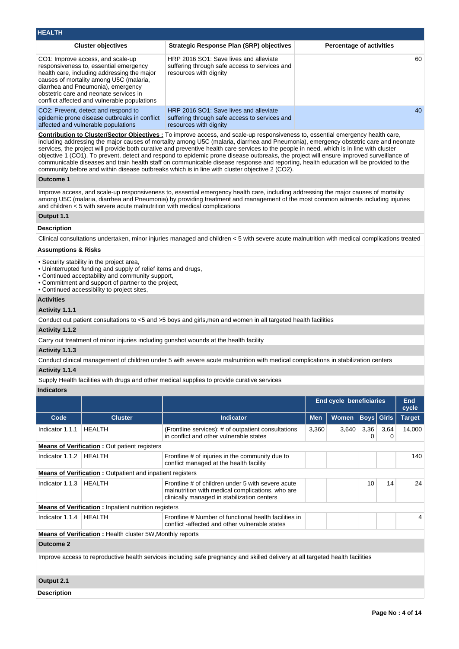| <b>HEALTH</b>                                                                                                                                                                                                                                                                                         |                                                                                                                   |                                 |
|-------------------------------------------------------------------------------------------------------------------------------------------------------------------------------------------------------------------------------------------------------------------------------------------------------|-------------------------------------------------------------------------------------------------------------------|---------------------------------|
| <b>Cluster objectives</b>                                                                                                                                                                                                                                                                             | <b>Strategic Response Plan (SRP) objectives</b>                                                                   | <b>Percentage of activities</b> |
| CO1: Improve access, and scale-up<br>responsiveness to, essential emergency<br>health care, including addressing the major<br>causes of mortality among U5C (malaria,<br>diarrhea and Pneumonia), emergency<br>obstetric care and neonate services in<br>conflict affected and vulnerable populations | HRP 2016 SO1: Save lives and alleviate<br>suffering through safe access to services and<br>resources with dignity | 60                              |
| CO <sub>2</sub> : Prevent, detect and respond to<br>epidemic prone disease outbreaks in conflict<br>affected and vulnerable populations                                                                                                                                                               | HRP 2016 SO1: Save lives and alleviate<br>suffering through safe access to services and<br>resources with dignity | 40                              |

**Contribution to Cluster/Sector Objectives :** To improve access, and scale-up responsiveness to, essential emergency health care, including addressing the major causes of mortality among U5C (malaria, diarrhea and Pneumonia), emergency obstetric care and neonate services, the project will provide both curative and preventive health care services to the people in need, which is in line with cluster objective 1 (CO1). To prevent, detect and respond to epidemic prone disease outbreaks, the project will ensure improved surveillance of communicable diseases and train health staff on communicable disease response and reporting, health education will be provided to the community before and within disease outbreaks which is in line with cluster objective 2 (CO2).

#### **Outcome 1**

Improve access, and scale-up responsiveness to, essential emergency health care, including addressing the major causes of mortality among U5C (malaria, diarrhea and Pneumonia) by providing treatment and management of the most common ailments including injuries and children < 5 with severe acute malnutrition with medical complications

# **Output 1.1**

#### **Description**

Clinical consultations undertaken, minor injuries managed and children < 5 with severe acute malnutrition with medical complications treated

#### **Assumptions & Risks**

- Security stability in the project area,
- Uninterrupted funding and supply of relief items and drugs,
- Continued acceptability and community support,
- Commitment and support of partner to the project,
- Continued accessibility to project sites,

# **Activities**

# **Activity 1.1.1**

Conduct out patient consultations to <5 and >5 boys and girls,men and women in all targeted health facilities

#### **Activity 1.1.2**

Carry out treatment of minor injuries including gunshot wounds at the health facility

#### **Activity 1.1.3**

Conduct clinical management of children under 5 with severe acute malnutrition with medical complications in stabilization centers

# **Activity 1.1.4**

Supply Health facilities with drugs and other medical supplies to provide curative services

# **Indicators**

|                                                                                                                                |                                                                  |                                                                                                                                                      |            | End cycle beneficiaries |                   | <b>End</b><br>cycle |               |
|--------------------------------------------------------------------------------------------------------------------------------|------------------------------------------------------------------|------------------------------------------------------------------------------------------------------------------------------------------------------|------------|-------------------------|-------------------|---------------------|---------------|
| Code                                                                                                                           | <b>Cluster</b>                                                   | <b>Indicator</b>                                                                                                                                     | <b>Men</b> | <b>Women</b>            | <b>Boys</b> Girls |                     | <b>Target</b> |
| Indicator 1.1.1                                                                                                                | <b>HEALTH</b>                                                    | (Frontline services): # of outpatient consultations<br>in conflict and other vulnerable states                                                       | 3,360      | 3,640                   | 3,36<br>0         | 3,64<br>0           | 14,000        |
|                                                                                                                                | <b>Means of Verification:</b> Out patient registers              |                                                                                                                                                      |            |                         |                   |                     |               |
| Indicator 1.1.2                                                                                                                | HEALTH                                                           | Frontline # of injuries in the community due to<br>conflict managed at the health facility                                                           |            |                         |                   |                     | 140           |
|                                                                                                                                | <b>Means of Verification:</b> Outpatient and inpatient registers |                                                                                                                                                      |            |                         |                   |                     |               |
| Indicator 1.1.3                                                                                                                | HEALTH                                                           | Frontline # of children under 5 with severe acute<br>malnutrition with medical complications, who are<br>clinically managed in stabilization centers |            |                         | 10                | 14                  | 24            |
|                                                                                                                                | <b>Means of Verification:</b> Inpatient nutrition registers      |                                                                                                                                                      |            |                         |                   |                     |               |
| Indicator 1.1.4                                                                                                                | HEALTH                                                           | Frontline # Number of functional health facilities in<br>conflict -affected and other vulnerable states                                              |            |                         |                   |                     | 4             |
| <b>Means of Verification</b> : Health cluster 5W, Monthly reports                                                              |                                                                  |                                                                                                                                                      |            |                         |                   |                     |               |
| <b>Outcome 2</b>                                                                                                               |                                                                  |                                                                                                                                                      |            |                         |                   |                     |               |
| Improve access to reproductive health services including safe pregnancy and skilled delivery at all targeted health facilities |                                                                  |                                                                                                                                                      |            |                         |                   |                     |               |

# **Output 2.1**

**Description**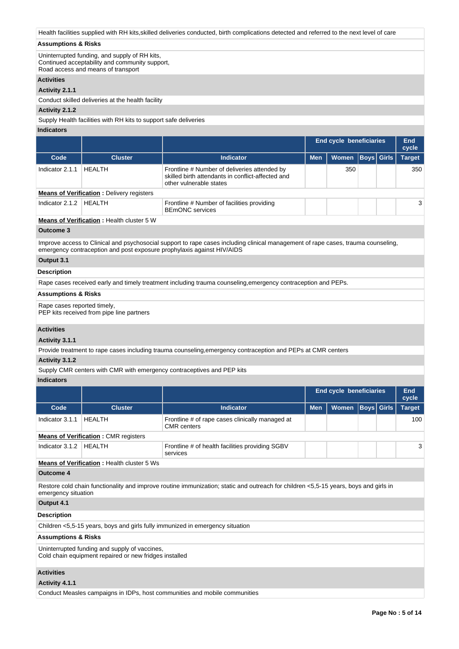Health facilities supplied with RH kits,skilled deliveries conducted, birth complications detected and referred to the next level of care

## **Assumptions & Risks**

Uninterrupted funding, and supply of RH kits, Continued acceptability and community support, Road access and means of transport

#### **Activities**

## **Activity 2.1.1**

Conduct skilled deliveries at the health facility

#### **Activity 2.1.2**

Supply Health facilities with RH kits to support safe deliveries

# **Indicators**

|                 |                                                       |                                                                                                                              | <b>End cycle beneficiaries</b> |       | End<br>cycle      |  |               |
|-----------------|-------------------------------------------------------|------------------------------------------------------------------------------------------------------------------------------|--------------------------------|-------|-------------------|--|---------------|
| Code            | <b>Cluster</b>                                        | Indicator                                                                                                                    | <b>Men</b>                     | Women | <b>Boys Girls</b> |  | <b>Target</b> |
| Indicator 2.1.1 | HFAI TH                                               | Frontline # Number of deliveries attended by<br>skilled birth attendants in conflict-affected and<br>other vulnerable states |                                | 350   |                   |  | 350           |
|                 | <b>Means of Verification:</b> Delivery registers      |                                                                                                                              |                                |       |                   |  |               |
| Indicator 2.1.2 | HEALTH                                                | Frontline # Number of facilities providing<br><b>BEMONC</b> services                                                         |                                |       |                   |  | 3             |
|                 | Means of Varification $\cdot$ Lookh output $\Gamma$ W |                                                                                                                              |                                |       |                   |  |               |

## **Means of Verification :** Health cluster 5 W

# **Outcome 3**

Improve access to Clinical and psychosocial support to rape cases including clinical management of rape cases, trauma counseling, emergency contraception and post exposure prophylaxis against HIV/AIDS

# **Output 3.1**

#### **Description**

Rape cases received early and timely treatment including trauma counseling,emergency contraception and PEPs.

# **Assumptions & Risks**

Rape cases reported timely,

PEP kits received from pipe line partners

# **Activities**

## **Activity 3.1.1**

Provide treatment to rape cases including trauma counseling,emergency contraception and PEPs at CMR centers

# **Activity 3.1.2**

Supply CMR centers with CMR with emergency contraceptives and PEP kits

#### **Indicators**

|                                                                                                         |                                             |                                                                                                                                      | <b>End cycle beneficiaries</b> |              |                   | <b>End</b><br>cycle |               |
|---------------------------------------------------------------------------------------------------------|---------------------------------------------|--------------------------------------------------------------------------------------------------------------------------------------|--------------------------------|--------------|-------------------|---------------------|---------------|
| Code                                                                                                    | <b>Cluster</b>                              | Indicator                                                                                                                            | <b>Men</b>                     | <b>Women</b> | <b>Boys</b> Girls |                     | <b>Target</b> |
| Indicator 3.1.1                                                                                         | <b>HFAITH</b>                               | Frontline # of rape cases clinically managed at<br><b>CMR</b> centers                                                                |                                |              |                   |                     | 100           |
|                                                                                                         | <b>Means of Verification: CMR registers</b> |                                                                                                                                      |                                |              |                   |                     |               |
| Indicator 3.1.2                                                                                         | <b>HEALTH</b>                               | Frontline # of health facilities providing SGBV<br>services                                                                          |                                |              |                   |                     | 3             |
|                                                                                                         | Means of Verification : Health cluster 5 Ws |                                                                                                                                      |                                |              |                   |                     |               |
| Outcome 4                                                                                               |                                             |                                                                                                                                      |                                |              |                   |                     |               |
| emergency situation                                                                                     |                                             | Restore cold chain functionality and improve routine immunization; static and outreach for children <5,5-15 years, boys and girls in |                                |              |                   |                     |               |
| Output 4.1                                                                                              |                                             |                                                                                                                                      |                                |              |                   |                     |               |
| <b>Description</b>                                                                                      |                                             |                                                                                                                                      |                                |              |                   |                     |               |
|                                                                                                         |                                             | Children <5,5-15 years, boys and girls fully immunized in emergency situation                                                        |                                |              |                   |                     |               |
| <b>Assumptions &amp; Risks</b>                                                                          |                                             |                                                                                                                                      |                                |              |                   |                     |               |
| Uninterrupted funding and supply of vaccines,<br>Cold chain equipment repaired or new fridges installed |                                             |                                                                                                                                      |                                |              |                   |                     |               |
| <b>Activities</b>                                                                                       |                                             |                                                                                                                                      |                                |              |                   |                     |               |
| Activity 4.1.1                                                                                          |                                             |                                                                                                                                      |                                |              |                   |                     |               |

Conduct Measles campaigns in IDPs, host communities and mobile communities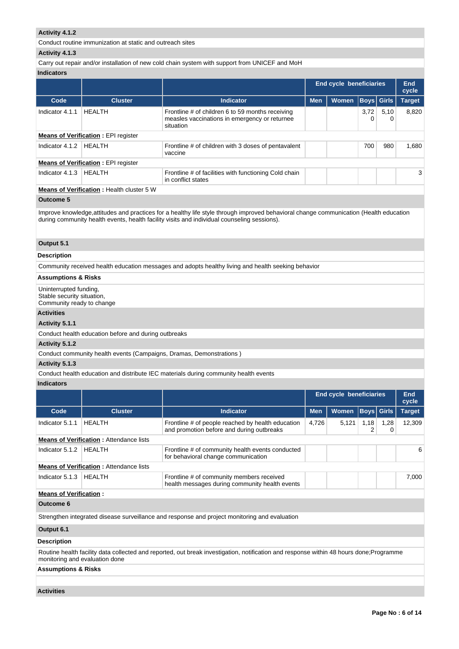# **Activity 4.1.2**

Conduct routine immunization at static and outreach sites

## **Activity 4.1.3**

## Carry out repair and/or installation of new cold chain system with support from UNICEF and MoH

## **Indicators**

|                                                  |                                            |                                                                                                                | <b>End cycle beneficiaries</b> |              | End<br>cycle |                   |               |
|--------------------------------------------------|--------------------------------------------|----------------------------------------------------------------------------------------------------------------|--------------------------------|--------------|--------------|-------------------|---------------|
| Code                                             | <b>Cluster</b>                             | Indicator                                                                                                      | <b>Men</b>                     | <b>Women</b> |              | <b>Boys Girls</b> | <b>Target</b> |
| Indicator 4.1.1                                  | <b>HEALTH</b>                              | Frontline # of children 6 to 59 months receiving<br>measles vaccinations in emergency or returnee<br>situation |                                |              | 3.72<br>0    | 5.10<br>0         | 8.820         |
| <b>Means of Verification: EPI register</b>       |                                            |                                                                                                                |                                |              |              |                   |               |
| Indicator 4.1.2                                  | <b>HEALTH</b>                              | Frontline # of children with 3 doses of pentavalent<br>vaccine                                                 |                                |              | 700          | 980               | 1.680         |
|                                                  | <b>Means of Verification: EPI register</b> |                                                                                                                |                                |              |              |                   |               |
| Indicator 4.1.3                                  | <b>HEALTH</b>                              | Frontline # of facilities with functioning Cold chain<br>in conflict states                                    |                                |              |              |                   | 3             |
| <b>Means of Verification:</b> Health cluster 5 W |                                            |                                                                                                                |                                |              |              |                   |               |

# **Outcome 5**

Improve knowledge,attitudes and practices for a healthy life style through improved behavioral change communication (Health education during community health events, health facility visits and individual counseling sessions).

## **Output 5.1**

# **Description**

Community received health education messages and adopts healthy living and health seeking behavior

## **Assumptions & Risks**

Uninterrupted funding, Stable security situation, Community ready to change

#### **Activities**

#### **Activity 5.1.1**

Conduct health education before and during outbreaks

## **Activity 5.1.2**

Conduct community health events (Campaigns, Dramas, Demonstrations )

## **Activity 5.1.3**

Conduct health education and distribute IEC materials during community health events

# **Indicators**

|                               |                                                |                                                                                                |            | End cycle beneficiaries |      | End<br>cycle      |               |
|-------------------------------|------------------------------------------------|------------------------------------------------------------------------------------------------|------------|-------------------------|------|-------------------|---------------|
| Code                          | <b>Cluster</b>                                 | <b>Indicator</b>                                                                               | <b>Men</b> | <b>Women</b>            |      | <b>Boys</b> Girls | <b>Target</b> |
| Indicator 5.1.1               | <b>HFAITH</b>                                  | Frontline # of people reached by health education<br>and promotion before and during outbreaks | 4.726      | 5.121                   | 1.18 | 1,28<br>0         | 12.309        |
|                               | <b>Means of Verification:</b> Attendance lists |                                                                                                |            |                         |      |                   |               |
| Indicator 5.1.2               | <b>HFAITH</b>                                  | Frontline # of community health events conducted<br>for behavioral change communication        |            |                         |      |                   | 6             |
|                               | <b>Means of Verification: Attendance lists</b> |                                                                                                |            |                         |      |                   |               |
| Indicator 5.1.3               | <b>HEALTH</b>                                  | Frontline # of community members received<br>health messages during community health events    |            |                         |      |                   | 7.000         |
| <b>Means of Verification:</b> |                                                |                                                                                                |            |                         |      |                   |               |

#### **Outcome 6**

Strengthen integrated disease surveillance and response and project monitoring and evaluation

## **Output 6.1**

# **Description**

Routine health facility data collected and reported, out break investigation, notification and response within 48 hours done;Programme monitoring and evaluation done

# **Assumptions & Risks**

**Activities**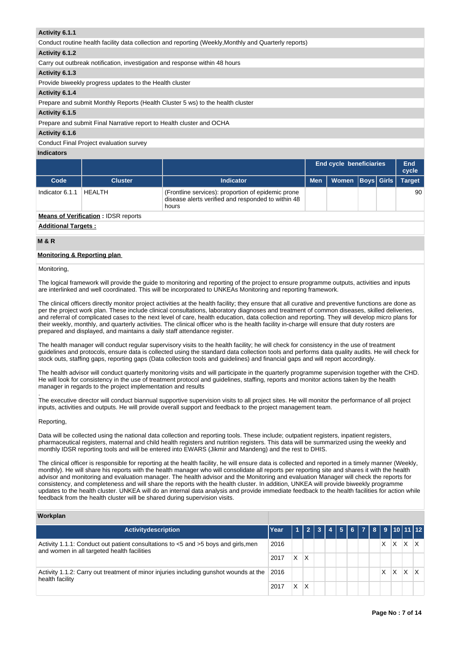## **Activity 6.1.1**

| Activity 6.1.1                                                                                        |
|-------------------------------------------------------------------------------------------------------|
| Conduct routine health facility data collection and reporting (Weekly, Monthly and Quarterly reports) |
| Activity 6.1.2                                                                                        |
| Carry out outbreak notification, investigation and response within 48 hours                           |
| Activity 6.1.3                                                                                        |
| Provide biweekly progress updates to the Health cluster                                               |
| Activity 6.1.4                                                                                        |
| Prepare and submit Monthly Reports (Health Cluster 5 ws) to the health cluster                        |
| Activity 6.1.5                                                                                        |
| Prepare and submit Final Narrative report to Health cluster and OCHA                                  |
| Activity 6.1.6                                                                                        |

Conduct Final Project evaluation survey

#### **Indicators**

|                 |                                            |                                                                                                                   |            | End cycle beneficiaries |  | End<br>cycle  |
|-----------------|--------------------------------------------|-------------------------------------------------------------------------------------------------------------------|------------|-------------------------|--|---------------|
| Code            | <b>Cluster</b>                             | <b>Indicator</b>                                                                                                  | <b>Men</b> | Women   Boys   Girls    |  | <b>Target</b> |
| Indicator 6.1.1 | <b>HEALTH</b>                              | (Frontline services): proportion of epidemic prone<br>disease alerts verified and responded to within 48<br>hours |            |                         |  | 90            |
|                 | <b>Means of Verification: IDSR reports</b> |                                                                                                                   |            |                         |  |               |

# **Additional Targets :**

# **M & R**

## **Monitoring & Reporting plan**

Monitoring,

The logical framework will provide the guide to monitoring and reporting of the project to ensure programme outputs, activities and inputs are interlinked and well coordinated. This will be incorporated to UNKEAs Monitoring and reporting framework.

The clinical officers directly monitor project activities at the health facility; they ensure that all curative and preventive functions are done as per the project work plan. These include clinical consultations, laboratory diagnoses and treatment of common diseases, skilled deliveries, and referral of complicated cases to the next level of care, health education, data collection and reporting. They will develop micro plans for their weekly, monthly, and quarterly activities. The clinical officer who is the health facility in-charge will ensure that duty rosters are prepared and displayed, and maintains a daily staff attendance register.

The health manager will conduct regular supervisory visits to the health facility; he will check for consistency in the use of treatment guidelines and protocols, ensure data is collected using the standard data collection tools and performs data quality audits. He will check for stock outs, staffing gaps, reporting gaps (Data collection tools and guidelines) and financial gaps and will report accordingly.

The health advisor will conduct quarterly monitoring visits and will participate in the quarterly programme supervision together with the CHD. He will look for consistency in the use of treatment protocol and guidelines, staffing, reports and monitor actions taken by the health manager in regards to the project implementation and results

. The executive director will conduct biannual supportive supervision visits to all project sites. He will monitor the performance of all project inputs, activities and outputs. He will provide overall support and feedback to the project management team.

#### Reporting,

Data will be collected using the national data collection and reporting tools. These include; outpatient registers, inpatient registers, pharmaceutical registers, maternal and child health registers and nutrition registers. This data will be summarized using the weekly and monthly IDSR reporting tools and will be entered into EWARS (Jikmir and Mandeng) and the rest to DHIS.

The clinical officer is responsible for reporting at the health facility, he will ensure data is collected and reported in a timely manner (Weekly, monthly). He will share his reports with the health manager who will consolidate all reports per reporting site and shares it with the health advisor and monitoring and evaluation manager. The health advisor and the Monitoring and evaluation Manager will check the reports for consistency, and completeness and will share the reports with the health cluster. In addition, UNKEA will provide biweekly programme updates to the health cluster. UNKEA will do an internal data analysis and provide immediate feedback to the health facilities for action while feedback from the health cluster will be shared during supervision visits.

#### **Workplan**

| <b>Activitydescription</b>                                                                                                        | Year |    |   |  |  |  |   |   |   | 1   2   3   4   5   6   7   8   9  10  11  12 |
|-----------------------------------------------------------------------------------------------------------------------------------|------|----|---|--|--|--|---|---|---|-----------------------------------------------|
| Activity 1.1.1: Conduct out patient consultations to <5 and >5 boys and girls, men<br>and women in all targeted health facilities | 2016 |    |   |  |  |  | X | X | x |                                               |
|                                                                                                                                   | 2017 | X. | X |  |  |  |   |   |   |                                               |
| Activity 1.1.2: Carry out treatment of minor injuries including gunshot wounds at the<br>health facility                          |      |    |   |  |  |  | X | X | X |                                               |
|                                                                                                                                   | 2017 | X  | Χ |  |  |  |   |   |   |                                               |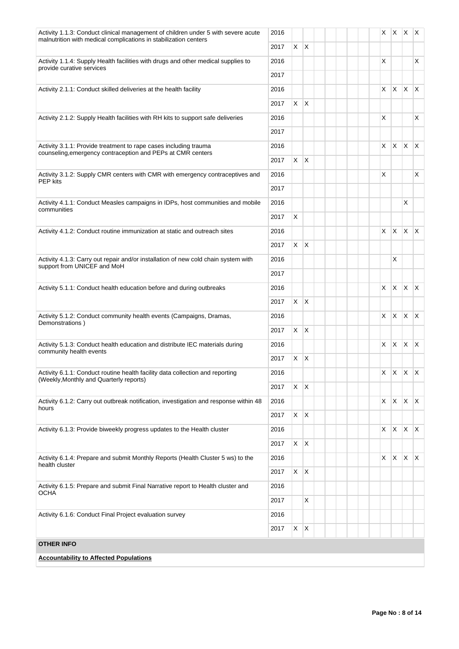| X<br>$\mathsf{X}$<br>2017<br>X<br>Activity 1.1.4: Supply Health facilities with drugs and other medical supplies to<br>2016<br>X<br>provide curative services<br>2017<br>$X \mid X \mid X$<br>X.<br>2016<br>Activity 2.1.1: Conduct skilled deliveries at the health facility<br>X.<br>$\mathsf{X}$<br>2017<br>X<br>2016<br>X<br>Activity 2.1.2: Supply Health facilities with RH kits to support safe deliveries<br>2017<br>$\mathsf{X}$<br>$\mathsf{X}$<br>X.<br>$\mathsf{X}$<br>2016<br>Activity 3.1.1: Provide treatment to rape cases including trauma<br>counseling, emergency contraception and PEPs at CMR centers<br>X<br>$\mathsf{X}$<br>2017<br>X<br>Activity 3.1.2: Supply CMR centers with CMR with emergency contraceptives and<br>2016<br>X<br><b>PEP</b> kits<br>2017<br>X<br>Activity 4.1.1: Conduct Measles campaigns in IDPs, host communities and mobile<br>2016<br>communities<br>X<br>2017<br>X.<br>$X$ $X$<br>2016<br>X<br>Activity 4.1.2: Conduct routine immunization at static and outreach sites<br>X<br>$\mathsf{X}$<br>2017<br>X<br>Activity 4.1.3: Carry out repair and/or installation of new cold chain system with<br>2016<br>support from UNICEF and MoH<br>2017<br>$\mathsf{X}$<br>$\mathsf{X}$<br>$\mathsf{X}$<br>2016<br>X.<br>Activity 5.1.1: Conduct health education before and during outbreaks<br>$X$ $X$<br>2017<br>$X$ $X$<br>X.<br>$\mathsf{X}$<br>Activity 5.1.2: Conduct community health events (Campaigns, Dramas,<br>2016<br>Demonstrations)<br>$X$ $X$<br>2017<br>$x \mid x \mid x$<br>X.<br>Activity 5.1.3: Conduct health education and distribute IEC materials during<br>2016<br>community health events<br>X.<br>$\mathsf{X}$<br>2017<br>$x \times x$<br>X<br>Activity 6.1.1: Conduct routine health facility data collection and reporting<br>2016<br>(Weekly, Monthly and Quarterly reports)<br>X<br>$\mathsf{X}$<br>2017<br>$X$ $X$ $X$<br>X.<br>Activity 6.1.2: Carry out outbreak notification, investigation and response within 48<br>2016<br>hours<br>$X$ $X$<br>2017<br>$X \mid X \mid X \mid X$<br>Activity 6.1.3: Provide biweekly progress updates to the Health cluster<br>2016<br>$X \mid X$<br>2017<br>$\mathsf{X}$<br>$x \times$<br>Activity 6.1.4: Prepare and submit Monthly Reports (Health Cluster 5 ws) to the<br>2016<br>X.<br>health cluster<br>X<br>$\mathsf{X}$<br>2017<br>Activity 6.1.5: Prepare and submit Final Narrative report to Health cluster and<br>2016<br>OCHA<br>X<br>2017<br>2016<br>Activity 6.1.6: Conduct Final Project evaluation survey<br>$X \mid X$<br>2017<br><b>OTHER INFO</b><br><b>Accountability to Affected Populations</b> | Activity 1.1.3: Conduct clinical management of children under 5 with severe acute<br>malnutrition with medical complications in stabilization centers | 2016 |  |  |  | $X \mid X \mid X \mid X$ |  |
|-----------------------------------------------------------------------------------------------------------------------------------------------------------------------------------------------------------------------------------------------------------------------------------------------------------------------------------------------------------------------------------------------------------------------------------------------------------------------------------------------------------------------------------------------------------------------------------------------------------------------------------------------------------------------------------------------------------------------------------------------------------------------------------------------------------------------------------------------------------------------------------------------------------------------------------------------------------------------------------------------------------------------------------------------------------------------------------------------------------------------------------------------------------------------------------------------------------------------------------------------------------------------------------------------------------------------------------------------------------------------------------------------------------------------------------------------------------------------------------------------------------------------------------------------------------------------------------------------------------------------------------------------------------------------------------------------------------------------------------------------------------------------------------------------------------------------------------------------------------------------------------------------------------------------------------------------------------------------------------------------------------------------------------------------------------------------------------------------------------------------------------------------------------------------------------------------------------------------------------------------------------------------------------------------------------------------------------------------------------------------------------------------------------------------------------------------------------------------------------------------------------------------------------------------------------------------------------------------------------------------------------------|-------------------------------------------------------------------------------------------------------------------------------------------------------|------|--|--|--|--------------------------|--|
|                                                                                                                                                                                                                                                                                                                                                                                                                                                                                                                                                                                                                                                                                                                                                                                                                                                                                                                                                                                                                                                                                                                                                                                                                                                                                                                                                                                                                                                                                                                                                                                                                                                                                                                                                                                                                                                                                                                                                                                                                                                                                                                                                                                                                                                                                                                                                                                                                                                                                                                                                                                                                                         |                                                                                                                                                       |      |  |  |  |                          |  |
|                                                                                                                                                                                                                                                                                                                                                                                                                                                                                                                                                                                                                                                                                                                                                                                                                                                                                                                                                                                                                                                                                                                                                                                                                                                                                                                                                                                                                                                                                                                                                                                                                                                                                                                                                                                                                                                                                                                                                                                                                                                                                                                                                                                                                                                                                                                                                                                                                                                                                                                                                                                                                                         |                                                                                                                                                       |      |  |  |  |                          |  |
|                                                                                                                                                                                                                                                                                                                                                                                                                                                                                                                                                                                                                                                                                                                                                                                                                                                                                                                                                                                                                                                                                                                                                                                                                                                                                                                                                                                                                                                                                                                                                                                                                                                                                                                                                                                                                                                                                                                                                                                                                                                                                                                                                                                                                                                                                                                                                                                                                                                                                                                                                                                                                                         |                                                                                                                                                       |      |  |  |  |                          |  |
|                                                                                                                                                                                                                                                                                                                                                                                                                                                                                                                                                                                                                                                                                                                                                                                                                                                                                                                                                                                                                                                                                                                                                                                                                                                                                                                                                                                                                                                                                                                                                                                                                                                                                                                                                                                                                                                                                                                                                                                                                                                                                                                                                                                                                                                                                                                                                                                                                                                                                                                                                                                                                                         |                                                                                                                                                       |      |  |  |  |                          |  |
|                                                                                                                                                                                                                                                                                                                                                                                                                                                                                                                                                                                                                                                                                                                                                                                                                                                                                                                                                                                                                                                                                                                                                                                                                                                                                                                                                                                                                                                                                                                                                                                                                                                                                                                                                                                                                                                                                                                                                                                                                                                                                                                                                                                                                                                                                                                                                                                                                                                                                                                                                                                                                                         |                                                                                                                                                       |      |  |  |  |                          |  |
|                                                                                                                                                                                                                                                                                                                                                                                                                                                                                                                                                                                                                                                                                                                                                                                                                                                                                                                                                                                                                                                                                                                                                                                                                                                                                                                                                                                                                                                                                                                                                                                                                                                                                                                                                                                                                                                                                                                                                                                                                                                                                                                                                                                                                                                                                                                                                                                                                                                                                                                                                                                                                                         |                                                                                                                                                       |      |  |  |  |                          |  |
|                                                                                                                                                                                                                                                                                                                                                                                                                                                                                                                                                                                                                                                                                                                                                                                                                                                                                                                                                                                                                                                                                                                                                                                                                                                                                                                                                                                                                                                                                                                                                                                                                                                                                                                                                                                                                                                                                                                                                                                                                                                                                                                                                                                                                                                                                                                                                                                                                                                                                                                                                                                                                                         |                                                                                                                                                       |      |  |  |  |                          |  |
|                                                                                                                                                                                                                                                                                                                                                                                                                                                                                                                                                                                                                                                                                                                                                                                                                                                                                                                                                                                                                                                                                                                                                                                                                                                                                                                                                                                                                                                                                                                                                                                                                                                                                                                                                                                                                                                                                                                                                                                                                                                                                                                                                                                                                                                                                                                                                                                                                                                                                                                                                                                                                                         |                                                                                                                                                       |      |  |  |  |                          |  |
|                                                                                                                                                                                                                                                                                                                                                                                                                                                                                                                                                                                                                                                                                                                                                                                                                                                                                                                                                                                                                                                                                                                                                                                                                                                                                                                                                                                                                                                                                                                                                                                                                                                                                                                                                                                                                                                                                                                                                                                                                                                                                                                                                                                                                                                                                                                                                                                                                                                                                                                                                                                                                                         |                                                                                                                                                       |      |  |  |  |                          |  |
|                                                                                                                                                                                                                                                                                                                                                                                                                                                                                                                                                                                                                                                                                                                                                                                                                                                                                                                                                                                                                                                                                                                                                                                                                                                                                                                                                                                                                                                                                                                                                                                                                                                                                                                                                                                                                                                                                                                                                                                                                                                                                                                                                                                                                                                                                                                                                                                                                                                                                                                                                                                                                                         |                                                                                                                                                       |      |  |  |  |                          |  |
|                                                                                                                                                                                                                                                                                                                                                                                                                                                                                                                                                                                                                                                                                                                                                                                                                                                                                                                                                                                                                                                                                                                                                                                                                                                                                                                                                                                                                                                                                                                                                                                                                                                                                                                                                                                                                                                                                                                                                                                                                                                                                                                                                                                                                                                                                                                                                                                                                                                                                                                                                                                                                                         |                                                                                                                                                       |      |  |  |  |                          |  |
|                                                                                                                                                                                                                                                                                                                                                                                                                                                                                                                                                                                                                                                                                                                                                                                                                                                                                                                                                                                                                                                                                                                                                                                                                                                                                                                                                                                                                                                                                                                                                                                                                                                                                                                                                                                                                                                                                                                                                                                                                                                                                                                                                                                                                                                                                                                                                                                                                                                                                                                                                                                                                                         |                                                                                                                                                       |      |  |  |  |                          |  |
|                                                                                                                                                                                                                                                                                                                                                                                                                                                                                                                                                                                                                                                                                                                                                                                                                                                                                                                                                                                                                                                                                                                                                                                                                                                                                                                                                                                                                                                                                                                                                                                                                                                                                                                                                                                                                                                                                                                                                                                                                                                                                                                                                                                                                                                                                                                                                                                                                                                                                                                                                                                                                                         |                                                                                                                                                       |      |  |  |  |                          |  |
|                                                                                                                                                                                                                                                                                                                                                                                                                                                                                                                                                                                                                                                                                                                                                                                                                                                                                                                                                                                                                                                                                                                                                                                                                                                                                                                                                                                                                                                                                                                                                                                                                                                                                                                                                                                                                                                                                                                                                                                                                                                                                                                                                                                                                                                                                                                                                                                                                                                                                                                                                                                                                                         |                                                                                                                                                       |      |  |  |  |                          |  |
|                                                                                                                                                                                                                                                                                                                                                                                                                                                                                                                                                                                                                                                                                                                                                                                                                                                                                                                                                                                                                                                                                                                                                                                                                                                                                                                                                                                                                                                                                                                                                                                                                                                                                                                                                                                                                                                                                                                                                                                                                                                                                                                                                                                                                                                                                                                                                                                                                                                                                                                                                                                                                                         |                                                                                                                                                       |      |  |  |  |                          |  |
|                                                                                                                                                                                                                                                                                                                                                                                                                                                                                                                                                                                                                                                                                                                                                                                                                                                                                                                                                                                                                                                                                                                                                                                                                                                                                                                                                                                                                                                                                                                                                                                                                                                                                                                                                                                                                                                                                                                                                                                                                                                                                                                                                                                                                                                                                                                                                                                                                                                                                                                                                                                                                                         |                                                                                                                                                       |      |  |  |  |                          |  |
|                                                                                                                                                                                                                                                                                                                                                                                                                                                                                                                                                                                                                                                                                                                                                                                                                                                                                                                                                                                                                                                                                                                                                                                                                                                                                                                                                                                                                                                                                                                                                                                                                                                                                                                                                                                                                                                                                                                                                                                                                                                                                                                                                                                                                                                                                                                                                                                                                                                                                                                                                                                                                                         |                                                                                                                                                       |      |  |  |  |                          |  |
|                                                                                                                                                                                                                                                                                                                                                                                                                                                                                                                                                                                                                                                                                                                                                                                                                                                                                                                                                                                                                                                                                                                                                                                                                                                                                                                                                                                                                                                                                                                                                                                                                                                                                                                                                                                                                                                                                                                                                                                                                                                                                                                                                                                                                                                                                                                                                                                                                                                                                                                                                                                                                                         |                                                                                                                                                       |      |  |  |  |                          |  |
|                                                                                                                                                                                                                                                                                                                                                                                                                                                                                                                                                                                                                                                                                                                                                                                                                                                                                                                                                                                                                                                                                                                                                                                                                                                                                                                                                                                                                                                                                                                                                                                                                                                                                                                                                                                                                                                                                                                                                                                                                                                                                                                                                                                                                                                                                                                                                                                                                                                                                                                                                                                                                                         |                                                                                                                                                       |      |  |  |  |                          |  |
|                                                                                                                                                                                                                                                                                                                                                                                                                                                                                                                                                                                                                                                                                                                                                                                                                                                                                                                                                                                                                                                                                                                                                                                                                                                                                                                                                                                                                                                                                                                                                                                                                                                                                                                                                                                                                                                                                                                                                                                                                                                                                                                                                                                                                                                                                                                                                                                                                                                                                                                                                                                                                                         |                                                                                                                                                       |      |  |  |  |                          |  |
|                                                                                                                                                                                                                                                                                                                                                                                                                                                                                                                                                                                                                                                                                                                                                                                                                                                                                                                                                                                                                                                                                                                                                                                                                                                                                                                                                                                                                                                                                                                                                                                                                                                                                                                                                                                                                                                                                                                                                                                                                                                                                                                                                                                                                                                                                                                                                                                                                                                                                                                                                                                                                                         |                                                                                                                                                       |      |  |  |  |                          |  |
|                                                                                                                                                                                                                                                                                                                                                                                                                                                                                                                                                                                                                                                                                                                                                                                                                                                                                                                                                                                                                                                                                                                                                                                                                                                                                                                                                                                                                                                                                                                                                                                                                                                                                                                                                                                                                                                                                                                                                                                                                                                                                                                                                                                                                                                                                                                                                                                                                                                                                                                                                                                                                                         |                                                                                                                                                       |      |  |  |  |                          |  |
|                                                                                                                                                                                                                                                                                                                                                                                                                                                                                                                                                                                                                                                                                                                                                                                                                                                                                                                                                                                                                                                                                                                                                                                                                                                                                                                                                                                                                                                                                                                                                                                                                                                                                                                                                                                                                                                                                                                                                                                                                                                                                                                                                                                                                                                                                                                                                                                                                                                                                                                                                                                                                                         |                                                                                                                                                       |      |  |  |  |                          |  |
|                                                                                                                                                                                                                                                                                                                                                                                                                                                                                                                                                                                                                                                                                                                                                                                                                                                                                                                                                                                                                                                                                                                                                                                                                                                                                                                                                                                                                                                                                                                                                                                                                                                                                                                                                                                                                                                                                                                                                                                                                                                                                                                                                                                                                                                                                                                                                                                                                                                                                                                                                                                                                                         |                                                                                                                                                       |      |  |  |  |                          |  |
|                                                                                                                                                                                                                                                                                                                                                                                                                                                                                                                                                                                                                                                                                                                                                                                                                                                                                                                                                                                                                                                                                                                                                                                                                                                                                                                                                                                                                                                                                                                                                                                                                                                                                                                                                                                                                                                                                                                                                                                                                                                                                                                                                                                                                                                                                                                                                                                                                                                                                                                                                                                                                                         |                                                                                                                                                       |      |  |  |  |                          |  |
|                                                                                                                                                                                                                                                                                                                                                                                                                                                                                                                                                                                                                                                                                                                                                                                                                                                                                                                                                                                                                                                                                                                                                                                                                                                                                                                                                                                                                                                                                                                                                                                                                                                                                                                                                                                                                                                                                                                                                                                                                                                                                                                                                                                                                                                                                                                                                                                                                                                                                                                                                                                                                                         |                                                                                                                                                       |      |  |  |  |                          |  |
|                                                                                                                                                                                                                                                                                                                                                                                                                                                                                                                                                                                                                                                                                                                                                                                                                                                                                                                                                                                                                                                                                                                                                                                                                                                                                                                                                                                                                                                                                                                                                                                                                                                                                                                                                                                                                                                                                                                                                                                                                                                                                                                                                                                                                                                                                                                                                                                                                                                                                                                                                                                                                                         |                                                                                                                                                       |      |  |  |  |                          |  |
|                                                                                                                                                                                                                                                                                                                                                                                                                                                                                                                                                                                                                                                                                                                                                                                                                                                                                                                                                                                                                                                                                                                                                                                                                                                                                                                                                                                                                                                                                                                                                                                                                                                                                                                                                                                                                                                                                                                                                                                                                                                                                                                                                                                                                                                                                                                                                                                                                                                                                                                                                                                                                                         |                                                                                                                                                       |      |  |  |  |                          |  |
|                                                                                                                                                                                                                                                                                                                                                                                                                                                                                                                                                                                                                                                                                                                                                                                                                                                                                                                                                                                                                                                                                                                                                                                                                                                                                                                                                                                                                                                                                                                                                                                                                                                                                                                                                                                                                                                                                                                                                                                                                                                                                                                                                                                                                                                                                                                                                                                                                                                                                                                                                                                                                                         |                                                                                                                                                       |      |  |  |  |                          |  |
|                                                                                                                                                                                                                                                                                                                                                                                                                                                                                                                                                                                                                                                                                                                                                                                                                                                                                                                                                                                                                                                                                                                                                                                                                                                                                                                                                                                                                                                                                                                                                                                                                                                                                                                                                                                                                                                                                                                                                                                                                                                                                                                                                                                                                                                                                                                                                                                                                                                                                                                                                                                                                                         |                                                                                                                                                       |      |  |  |  |                          |  |
|                                                                                                                                                                                                                                                                                                                                                                                                                                                                                                                                                                                                                                                                                                                                                                                                                                                                                                                                                                                                                                                                                                                                                                                                                                                                                                                                                                                                                                                                                                                                                                                                                                                                                                                                                                                                                                                                                                                                                                                                                                                                                                                                                                                                                                                                                                                                                                                                                                                                                                                                                                                                                                         |                                                                                                                                                       |      |  |  |  |                          |  |
|                                                                                                                                                                                                                                                                                                                                                                                                                                                                                                                                                                                                                                                                                                                                                                                                                                                                                                                                                                                                                                                                                                                                                                                                                                                                                                                                                                                                                                                                                                                                                                                                                                                                                                                                                                                                                                                                                                                                                                                                                                                                                                                                                                                                                                                                                                                                                                                                                                                                                                                                                                                                                                         |                                                                                                                                                       |      |  |  |  |                          |  |
|                                                                                                                                                                                                                                                                                                                                                                                                                                                                                                                                                                                                                                                                                                                                                                                                                                                                                                                                                                                                                                                                                                                                                                                                                                                                                                                                                                                                                                                                                                                                                                                                                                                                                                                                                                                                                                                                                                                                                                                                                                                                                                                                                                                                                                                                                                                                                                                                                                                                                                                                                                                                                                         |                                                                                                                                                       |      |  |  |  |                          |  |
|                                                                                                                                                                                                                                                                                                                                                                                                                                                                                                                                                                                                                                                                                                                                                                                                                                                                                                                                                                                                                                                                                                                                                                                                                                                                                                                                                                                                                                                                                                                                                                                                                                                                                                                                                                                                                                                                                                                                                                                                                                                                                                                                                                                                                                                                                                                                                                                                                                                                                                                                                                                                                                         |                                                                                                                                                       |      |  |  |  |                          |  |
|                                                                                                                                                                                                                                                                                                                                                                                                                                                                                                                                                                                                                                                                                                                                                                                                                                                                                                                                                                                                                                                                                                                                                                                                                                                                                                                                                                                                                                                                                                                                                                                                                                                                                                                                                                                                                                                                                                                                                                                                                                                                                                                                                                                                                                                                                                                                                                                                                                                                                                                                                                                                                                         |                                                                                                                                                       |      |  |  |  |                          |  |
|                                                                                                                                                                                                                                                                                                                                                                                                                                                                                                                                                                                                                                                                                                                                                                                                                                                                                                                                                                                                                                                                                                                                                                                                                                                                                                                                                                                                                                                                                                                                                                                                                                                                                                                                                                                                                                                                                                                                                                                                                                                                                                                                                                                                                                                                                                                                                                                                                                                                                                                                                                                                                                         |                                                                                                                                                       |      |  |  |  |                          |  |
|                                                                                                                                                                                                                                                                                                                                                                                                                                                                                                                                                                                                                                                                                                                                                                                                                                                                                                                                                                                                                                                                                                                                                                                                                                                                                                                                                                                                                                                                                                                                                                                                                                                                                                                                                                                                                                                                                                                                                                                                                                                                                                                                                                                                                                                                                                                                                                                                                                                                                                                                                                                                                                         |                                                                                                                                                       |      |  |  |  |                          |  |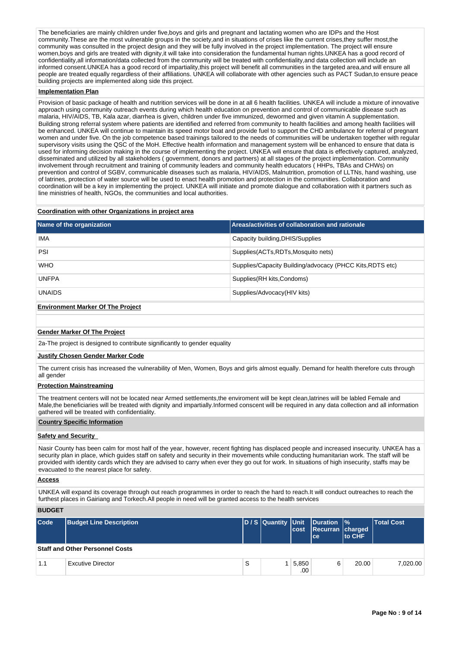The beneficiaries are mainly children under five, boys and girls and pregnant and lactating women who are IDPs and the Host community.These are the most vulnerable groups in the society,and in situations of crises like the current crises,they suffer most,the community was consulted in the project design and they will be fully involved in the project implementation. The project will ensure women,boys and girls are treated with dignity,it will take into consideration the fundamental human rights.UNKEA has a good record of confidentiality,all information/data collected from the community will be treated with confidentiality,and data collection will include an informed consent.UNKEA has a good record of impartiality,this project will benefit all communities in the targeted area,and will ensure all people are treated equally regardless of their affiliations. UNKEA will collaborate with other agencies such as PACT Sudan,to ensure peace building projects are implemented along side this project.

#### **Implementation Plan**

Provision of basic package of health and nutrition services will be done in at all 6 health facilities. UNKEA will include a mixture of innovative approach using community outreach events during which health education on prevention and control of communicable disease such as malaria, HIV/AIDS, TB, Kala azar, diarrhea is given, children under five immunized, dewormed and given vitamin A supplementation. Building strong referral system where patients are identified and referred from community to health facilities and among health facilities will be enhanced. UNKEA will continue to maintain its speed motor boat and provide fuel to support the CHD ambulance for referral of pregnant women and under five. On the job competence based trainings tailored to the needs of communities will be undertaken together with regular supervisory visits using the QSC of the MoH. Effective health information and management system will be enhanced to ensure that data is used for informing decision making in the course of implementing the project. UNKEA will ensure that data is effectively captured, analyzed, disseminated and utilized by all stakeholders ( government, donors and partners) at all stages of the project implementation. Community involvement through recruitment and training of community leaders and community health educators ( HHPs, TBAs and CHWs) on prevention and control of SGBV, communicable diseases such as malaria, HIV/AIDS, Malnutrition, promotion of LLTNs, hand washing, use of latrines, protection of water source will be used to enact health promotion and protection in the communities. Collaboration and coordination will be a key in implementing the project. UNKEA will initiate and promote dialogue and collaboration with it partners such as line ministries of health, NGOs, the communities and local authorities.

#### **Coordination with other Organizations in project area**

| Name of the organization                 | Areas/activities of collaboration and rationale           |  |  |  |  |  |
|------------------------------------------|-----------------------------------------------------------|--|--|--|--|--|
| <b>IMA</b>                               | Capacity building, DHIS/Supplies                          |  |  |  |  |  |
| PSI                                      | Supplies(ACTs, RDTs, Mosquito nets)                       |  |  |  |  |  |
| <b>WHO</b>                               | Supplies/Capacity Building/advocacy (PHCC Kits, RDTS etc) |  |  |  |  |  |
| <b>UNFPA</b>                             | Supplies (RH kits, Condoms)                               |  |  |  |  |  |
| <b>UNAIDS</b>                            | Supplies/Advocacy(HIV kits)                               |  |  |  |  |  |
| <b>Environment Marker Of The Project</b> |                                                           |  |  |  |  |  |

#### **Gender Marker Of The Project**

2a-The project is designed to contribute significantly to gender equality

#### **Justify Chosen Gender Marker Code**

The current crisis has increased the vulnerability of Men, Women, Boys and girls almost equally. Demand for health therefore cuts through all gender

#### **Protection Mainstreaming**

The treatment centers will not be located near Armed settlements,the enviroment will be kept clean,latrines will be labled Female and Male,the beneficiaries will be treated with dignity and impartially.Informed conscent will be required in any data collection and all information gathered will be treated with confidentiality.

#### **Country Specific Information**

#### **Safety and Security**

Nasir County has been calm for most half of the year, however, recent fighting has displaced people and increased insecurity. UNKEA has a security plan in place, which guides staff on safety and security in their movements while conducting humanitarian work. The staff will be provided with identity cards which they are advised to carry when ever they go out for work. In situations of high insecurity, staffs may be evacuated to the nearest place for safety.

#### **Access**

**BUDGET**

UNKEA will expand its coverage through out reach programmes in order to reach the hard to reach.It will conduct outreaches to reach the furthest places in Gairiang and Torkech.All people in need will be granted access to the health services

| ------ |                                        |   |              |                                                               |                |            |  |
|--------|----------------------------------------|---|--------------|---------------------------------------------------------------|----------------|------------|--|
| Code   | Budget Line Description                |   | cost         | D/S Quantity Unit Duration %<br>Recurran charged<br><b>ce</b> | <b>Ito CHF</b> | Total Cost |  |
|        | <b>Staff and Other Personnel Costs</b> |   |              |                                                               |                |            |  |
| 1.1    | <b>Excutive Director</b>               | S | 5,850<br>.00 | 6                                                             | 20.00          | 7.020.00   |  |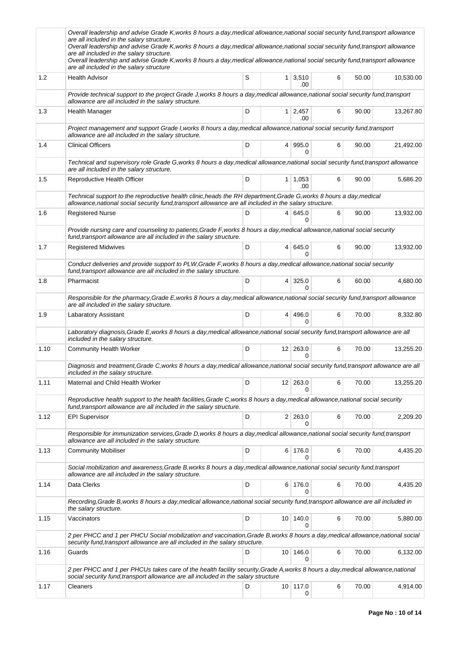|      | Overall leadership and advise Grade K, works 8 hours a day, medical allowance, national social security fund, transport allowance<br>are all included in the salary structure.<br>Overall leadership and advise Grade K, works 8 hours a day, medical allowance, national social security fund, transport allowance<br>are all included in the salary structure.<br>Overall leadership and advise Grade K, works 8 hours a day, medical allowance, national social security fund, transport allowance<br>are all included in the salary structure |   |   |                              |   |       |           |
|------|---------------------------------------------------------------------------------------------------------------------------------------------------------------------------------------------------------------------------------------------------------------------------------------------------------------------------------------------------------------------------------------------------------------------------------------------------------------------------------------------------------------------------------------------------|---|---|------------------------------|---|-------|-----------|
| 1.2  | <b>Health Advisor</b>                                                                                                                                                                                                                                                                                                                                                                                                                                                                                                                             | S |   | $1 \mid 3,510$<br>.00        | 6 | 50.00 | 10,530.00 |
|      | Provide technical support to the project Grade J, works 8 hours a day, medical allowance, national social security fund, transport<br>allowance are all included in the salary structure.                                                                                                                                                                                                                                                                                                                                                         |   |   |                              |   |       |           |
| 1.3  | Health Manager                                                                                                                                                                                                                                                                                                                                                                                                                                                                                                                                    | D |   | $1 \overline{)2,457}$<br>.00 | 6 | 90.00 | 13,267.80 |
|      | Project management and support Grade I, works 8 hours a day, medical allowance, national social security fund, transport<br>allowance are all included in the salary structure.                                                                                                                                                                                                                                                                                                                                                                   |   |   |                              |   |       |           |
| 1.4  | <b>Clinical Officers</b>                                                                                                                                                                                                                                                                                                                                                                                                                                                                                                                          | D |   | 4 995.0<br>0                 | 6 | 90.00 | 21,492.00 |
|      | Technical and supervisory role Grade G, works 8 hours a day, medical allowance, national social security fund, transport allowance<br>are all included in the salary structure.                                                                                                                                                                                                                                                                                                                                                                   |   |   |                              |   |       |           |
| 1.5  | Reproductive Health Officer                                                                                                                                                                                                                                                                                                                                                                                                                                                                                                                       | D |   | $1 \mid 1,053$<br>.00        | 6 | 90.00 | 5,686.20  |
|      | Technical support to the reproductive health clinic, heads the RH department, Grade G, works 8 hours a day, medical<br>allowance, national social security fund, transport allowance are all included in the salary structure.                                                                                                                                                                                                                                                                                                                    |   |   |                              |   |       |           |
| 1.6  | <b>Registered Nurse</b>                                                                                                                                                                                                                                                                                                                                                                                                                                                                                                                           | D |   | 4 645.0<br><sup>0</sup>      | 6 | 90.00 | 13,932.00 |
|      | Provide nursing care and counseling to patients, Grade F, works 8 hours a day, medical allowance, national social security<br>fund, transport allowance are all included in the salary structure.                                                                                                                                                                                                                                                                                                                                                 |   |   |                              |   |       |           |
| 1.7  | <b>Registered Midwives</b>                                                                                                                                                                                                                                                                                                                                                                                                                                                                                                                        | D |   | 4 645.0<br>0                 | 6 | 90.00 | 13,932.00 |
|      | Conduct deliveries and provide support to PLW, Grade F, works 8 hours a day, medical allowance, national social security<br>fund, transport allowance are all included in the salary structure.                                                                                                                                                                                                                                                                                                                                                   |   |   |                              |   |       |           |
| 1.8  | Pharmacist                                                                                                                                                                                                                                                                                                                                                                                                                                                                                                                                        | D | 4 | 325.0<br>$\Omega$            | 6 | 60.00 | 4,680.00  |
|      | Responsible for the pharmacy, Grade E, works 8 hours a day, medical allowance, national social security fund, transport allowance<br>are all included in the salary structure.                                                                                                                                                                                                                                                                                                                                                                    |   |   |                              |   |       |           |
| 1.9  | Labaratory Assistant                                                                                                                                                                                                                                                                                                                                                                                                                                                                                                                              | D |   | 4 496.0<br><sup>0</sup>      | 6 | 70.00 | 8,332.80  |
|      | Laboratory diagnosis, Grade E, works 8 hours a day, medical allowance, national social security fund, transport allowance are all<br>included in the salary structure.                                                                                                                                                                                                                                                                                                                                                                            |   |   |                              |   |       |           |
| 1.10 | Community Health Worker                                                                                                                                                                                                                                                                                                                                                                                                                                                                                                                           | D |   | $12$ 263.0<br>0              | 6 | 70.00 | 13,255.20 |
|      | Diagnosis and treatment, Grade C, works 8 hours a day, medical allowance, national social security fund, transport allowance are all<br>included in the salary structure.                                                                                                                                                                                                                                                                                                                                                                         |   |   |                              |   |       |           |
| 1.11 | Maternal and Child Health Worker                                                                                                                                                                                                                                                                                                                                                                                                                                                                                                                  | D |   | $12 \mid 263.0$              | 6 | 70.00 | 13,255.20 |
|      | Reproductive health support to the health facilities, Grade C, works 8 hours a day, medical allowance, national social security<br>fund, transport allowance are all included in the salary structure.                                                                                                                                                                                                                                                                                                                                            |   |   |                              |   |       |           |
| 1.12 | <b>EPI Supervisor</b>                                                                                                                                                                                                                                                                                                                                                                                                                                                                                                                             | D |   | 2 263.0<br>0                 | 6 | 70.00 | 2,209.20  |
|      | Responsible for immunization services, Grade D, works 8 hours a day, medical allowance, national social security fund, transport<br>allowance are all included in the salary structure.                                                                                                                                                                                                                                                                                                                                                           |   |   |                              |   |       |           |
| 1.13 | <b>Community Mobiliser</b>                                                                                                                                                                                                                                                                                                                                                                                                                                                                                                                        | D |   | 6 176.0<br>$\Omega$          | 6 | 70.00 | 4,435.20  |
|      | Social mobilization and awareness, Grade B, works 8 hours a day, medical allowance, national social security fund, transport<br>allowance are all included in the salary structure.                                                                                                                                                                                                                                                                                                                                                               |   |   |                              |   |       |           |
| 1.14 | Data Clerks                                                                                                                                                                                                                                                                                                                                                                                                                                                                                                                                       | D |   | 6 176.0                      | 6 | 70.00 | 4,435.20  |
|      | Recording, Grade B, works 8 hours a day, medical allowance, national social security fund, transport allowance are all included in<br>the salary structure.                                                                                                                                                                                                                                                                                                                                                                                       |   |   |                              |   |       |           |
| 1.15 | Vaccinators                                                                                                                                                                                                                                                                                                                                                                                                                                                                                                                                       | D |   | 10 140.0<br>0                | 6 | 70.00 | 5,880.00  |
|      | 2 per PHCC and 1 per PHCU Social mobilization and vaccination, Grade B, works 8 hours a day, medical allowance, national social<br>security fund, transport allowance are all included in the salary structure.                                                                                                                                                                                                                                                                                                                                   |   |   |                              |   |       |           |
| 1.16 | Guards                                                                                                                                                                                                                                                                                                                                                                                                                                                                                                                                            | D |   | 10 146.0<br>$\Omega$         | 6 | 70.00 | 6,132.00  |
|      | 2 per PHCC and 1 per PHCUs takes care of the health facility security, Grade A, works 8 hours a day, medical allowance, national<br>social security fund, transport allowance are all included in the salary structure                                                                                                                                                                                                                                                                                                                            |   |   |                              |   |       |           |
| 1.17 | Cleaners                                                                                                                                                                                                                                                                                                                                                                                                                                                                                                                                          | D |   | 10 117.0<br>0                | 6 | 70.00 | 4,914.00  |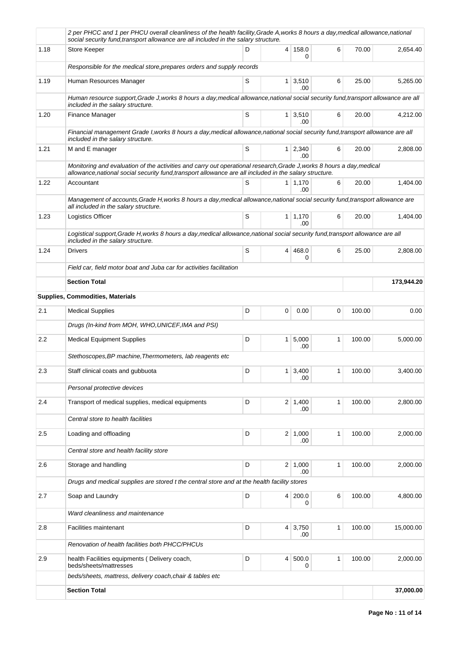|      | 2 per PHCC and 1 per PHCU overall cleanliness of the health facility, Grade A, works 8 hours a day, medical allowance, national<br>social security fund, transport allowance are all included in the salary structure.           |   |                |                       |   |        |            |
|------|----------------------------------------------------------------------------------------------------------------------------------------------------------------------------------------------------------------------------------|---|----------------|-----------------------|---|--------|------------|
| 1.18 | Store Keeper                                                                                                                                                                                                                     | D |                | 4 158.0<br>0          | 6 | 70.00  | 2,654.40   |
|      | Responsible for the medical store, prepares orders and supply records                                                                                                                                                            |   |                |                       |   |        |            |
| 1.19 | Human Resources Manager                                                                                                                                                                                                          | S |                | $1 \mid 3,510$<br>.00 | 6 | 25.00  | 5,265.00   |
|      | Human resource support, Grade J, works 8 hours a day, medical allowance, national social security fund, transport allowance are all<br>included in the salary structure.                                                         |   |                |                       |   |        |            |
| 1.20 | Finance Manager                                                                                                                                                                                                                  | S |                | $1 \mid 3,510$<br>.00 | 6 | 20.00  | 4,212.00   |
|      | Financial management Grade I, works 8 hours a day, medical allowance, national social security fund, transport allowance are all<br>included in the salary structure.                                                            |   |                |                       |   |        |            |
| 1.21 | M and E manager                                                                                                                                                                                                                  | S |                | 1 2,340<br>.00        | 6 | 20.00  | 2,808.00   |
|      | Monitoring and evaluation of the activities and carry out operational research, Grade J, works 8 hours a day, medical<br>allowance, national social security fund, transport allowance are all included in the salary structure. |   |                |                       |   |        |            |
| 1.22 | Accountant                                                                                                                                                                                                                       | S |                | 1   1,170<br>.00      | 6 | 20.00  | 1.404.00   |
|      | Management of accounts, Grade H, works 8 hours a day, medical allowance, national social security fund, transport allowance are<br>all included in the salary structure.                                                         |   |                |                       |   |        |            |
| 1.23 | <b>Logistics Officer</b>                                                                                                                                                                                                         | S |                | $1 \mid 1,170$<br>.00 | 6 | 20.00  | 1,404.00   |
|      | Logistical support, Grade H, works 8 hours a day, medical allowance, national social security fund, transport allowance are all<br>included in the salary structure.                                                             |   |                |                       |   |        |            |
| 1.24 | <b>Drivers</b>                                                                                                                                                                                                                   | S |                | 4 468.0<br>0          | 6 | 25.00  | 2,808.00   |
|      | Field car, field motor boat and Juba car for activities facilitation                                                                                                                                                             |   |                |                       |   |        |            |
|      | <b>Section Total</b>                                                                                                                                                                                                             |   |                |                       |   |        | 173,944.20 |
|      | <b>Supplies, Commodities, Materials</b>                                                                                                                                                                                          |   |                |                       |   |        |            |
| 2.1  | <b>Medical Supplies</b>                                                                                                                                                                                                          | D | 0              | 0.00                  | 0 | 100.00 | 0.00       |
|      | Drugs (In-kind from MOH, WHO, UNICEF, IMA and PSI)                                                                                                                                                                               |   |                |                       |   |        |            |
| 2.2  | <b>Medical Equipment Supplies</b>                                                                                                                                                                                                | D |                | 1 5,000<br>.00        | 1 | 100.00 | 5,000.00   |
|      | Stethoscopes, BP machine, Thermometers, lab reagents etc                                                                                                                                                                         |   |                |                       |   |        |            |
| 2.3  | Staff clinical coats and gubbuota                                                                                                                                                                                                | D |                | $1 \mid 3,400$<br>.00 | 1 | 100.00 | 3,400.00   |
|      | Personal protective devices                                                                                                                                                                                                      |   |                |                       |   |        |            |
| 2.4  | Transport of medical supplies, medical equipments                                                                                                                                                                                | D |                | $2 \mid 1,400$<br>.00 | 1 | 100.00 | 2,800.00   |
|      | Central store to health facilities                                                                                                                                                                                               |   |                |                       |   |        |            |
| 2.5  | Loading and offloading                                                                                                                                                                                                           | D |                | $2 \mid 1,000$<br>.00 | 1 | 100.00 | 2.000.00   |
|      | Central store and health facility store                                                                                                                                                                                          |   |                |                       |   |        |            |
| 2.6  | Storage and handling                                                                                                                                                                                                             | D | 2 <sup>2</sup> | 1,000<br>.00          | 1 | 100.00 | 2,000.00   |
|      | Drugs and medical supplies are stored t the central store and at the health facility stores                                                                                                                                      |   |                |                       |   |        |            |
| 2.7  | Soap and Laundry                                                                                                                                                                                                                 | D |                | 4 200.0<br>0          | 6 | 100.00 | 4,800.00   |
|      | Ward cleanliness and maintenance                                                                                                                                                                                                 |   |                |                       |   |        |            |
| 2.8  | Facilities maintenant                                                                                                                                                                                                            | D |                | 4 3,750<br>.00        | 1 | 100.00 | 15,000.00  |
|      | Renovation of health facilities both PHCC/PHCUs                                                                                                                                                                                  |   |                |                       |   |        |            |
| 2.9  | health Facilities equipments (Delivery coach,<br>beds/sheets/mattresses                                                                                                                                                          | D |                | 4 500.0<br>0          | 1 | 100.00 | 2,000.00   |
|      | beds/sheets, mattress, delivery coach, chair & tables etc                                                                                                                                                                        |   |                |                       |   |        |            |
|      | <b>Section Total</b>                                                                                                                                                                                                             |   |                |                       |   |        | 37,000.00  |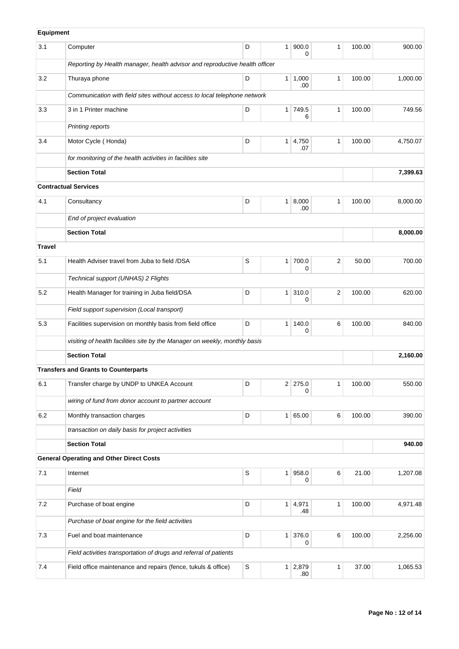| Equipment     |                                                                             |             |                |                       |              |        |          |
|---------------|-----------------------------------------------------------------------------|-------------|----------------|-----------------------|--------------|--------|----------|
| 3.1           | Computer                                                                    | D           | 1 <sup>1</sup> | 900.0<br>0            | $\mathbf{1}$ | 100.00 | 900.00   |
|               | Reporting by Health manager, health advisor and reproductive health officer |             |                |                       |              |        |          |
| 3.2           | Thuraya phone                                                               | D           |                | $1 \mid 1,000$<br>.00 | $\mathbf{1}$ | 100.00 | 1,000.00 |
|               | Communication with field sites without access to local telephone network    |             |                |                       |              |        |          |
| 3.3           | 3 in 1 Printer machine                                                      | D           | 1 <sup>1</sup> | 749.5<br>6            | $\mathbf{1}$ | 100.00 | 749.56   |
|               | Printing reports                                                            |             |                |                       |              |        |          |
| 3.4           | Motor Cycle (Honda)                                                         | D           | 1 <sup>1</sup> | 4,750<br>.07          | $\mathbf{1}$ | 100.00 | 4,750.07 |
|               | for monitoring of the health activities in facilities site                  |             |                |                       |              |        |          |
|               | <b>Section Total</b>                                                        |             |                |                       |              |        | 7,399.63 |
|               | <b>Contractual Services</b>                                                 |             |                |                       |              |        |          |
| 4.1           | Consultancy                                                                 | D           | 1 <sup>1</sup> | 8,000<br>.00          | 1            | 100.00 | 8,000.00 |
|               | End of project evaluation                                                   |             |                |                       |              |        |          |
|               | <b>Section Total</b>                                                        |             |                |                       |              |        | 8,000.00 |
| <b>Travel</b> |                                                                             |             |                |                       |              |        |          |
| 5.1           | Health Adviser travel from Juba to field /DSA                               | S           | 1 <sup>1</sup> | 700.0<br>0            | 2            | 50.00  | 700.00   |
|               | Technical support (UNHAS) 2 Flights                                         |             |                |                       |              |        |          |
| 5.2           | Health Manager for training in Juba field/DSA                               | D           | 1 <sup>1</sup> | 310.0<br>0            | 2            | 100.00 | 620.00   |
|               | Field support supervision (Local transport)                                 |             |                |                       |              |        |          |
| 5.3           | Facilities supervision on monthly basis from field office                   | D           | 1 <sup>1</sup> | 140.0<br>0            | 6            | 100.00 | 840.00   |
|               | visiting of health facilities site by the Manager on weekly, monthly basis  |             |                |                       |              |        |          |
|               | <b>Section Total</b>                                                        |             |                |                       |              |        | 2,160.00 |
|               | <b>Transfers and Grants to Counterparts</b>                                 |             |                |                       |              |        |          |
| 6.1           | Transfer charge by UNDP to UNKEA Account                                    | D           |                | $2 \mid 275.0$<br>0   | 1            | 100.00 | 550.00   |
|               | wiring of fund from donor account to partner account                        |             |                |                       |              |        |          |
| 6.2           | Monthly transaction charges                                                 | D           | 1 <sup>1</sup> | 65.00                 | 6            | 100.00 | 390.00   |
|               | transaction on daily basis for project activities                           |             |                |                       |              |        |          |
|               | <b>Section Total</b>                                                        |             |                |                       |              |        | 940.00   |
|               | <b>General Operating and Other Direct Costs</b>                             |             |                |                       |              |        |          |
| 7.1           | Internet                                                                    | $\mathsf S$ | 1 <sup>1</sup> | 958.0<br>0            | 6            | 21.00  | 1,207.08 |
|               | Field                                                                       |             |                |                       |              |        |          |
| 7.2           | Purchase of boat engine                                                     | D           |                | $1 \mid 4,971$<br>.48 | 1            | 100.00 | 4,971.48 |
|               | Purchase of boat engine for the field activities                            |             |                |                       |              |        |          |
| $7.3$         | Fuel and boat maintenance                                                   | D           | 1 <sup>1</sup> | 376.0<br>0            | 6            | 100.00 | 2,256.00 |
|               | Field activities transportation of drugs and referral of patients           |             |                |                       |              |        |          |
| 7.4           | Field office maintenance and repairs (fence, tukuls & office)               | S           | 1 <sup>1</sup> | 2,879<br>.80          | 1            | 37.00  | 1,065.53 |